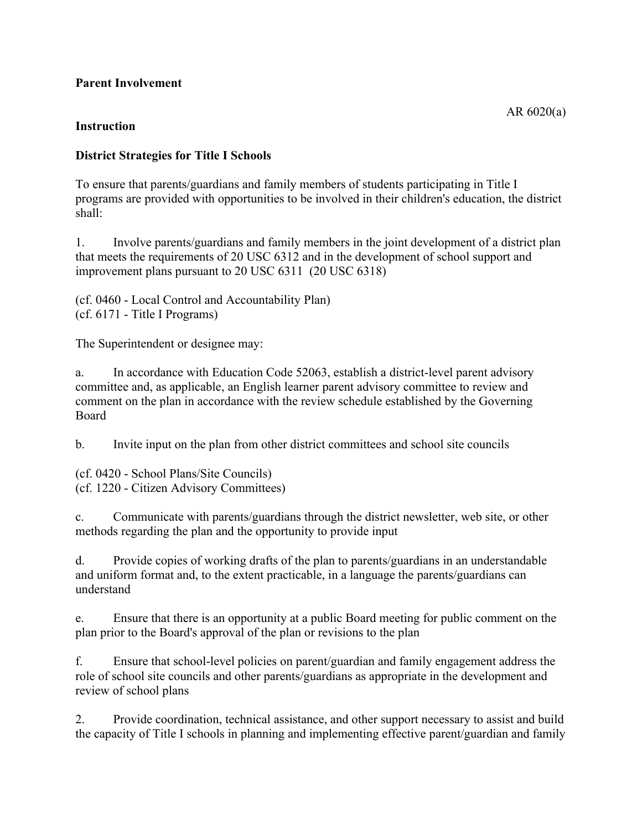## **Parent Involvement**

## **Instruction**

## **District Strategies for Title I Schools**

To ensure that parents/guardians and family members of students participating in Title I programs are provided with opportunities to be involved in their children's education, the district shall:

1. Involve parents/guardians and family members in the joint development of a district plan that meets the requirements of 20 USC 6312 and in the development of school support and improvement plans pursuant to 20 USC 6311 (20 USC 6318)

(cf. 0460 - Local Control and Accountability Plan) (cf. 6171 - Title I Programs)

The Superintendent or designee may:

a. In accordance with Education Code 52063, establish a district-level parent advisory committee and, as applicable, an English learner parent advisory committee to review and comment on the plan in accordance with the review schedule established by the Governing Board

b. Invite input on the plan from other district committees and school site councils

(cf. 0420 - School Plans/Site Councils) (cf. 1220 - Citizen Advisory Committees)

c. Communicate with parents/guardians through the district newsletter, web site, or other methods regarding the plan and the opportunity to provide input

d. Provide copies of working drafts of the plan to parents/guardians in an understandable and uniform format and, to the extent practicable, in a language the parents/guardians can understand

e. Ensure that there is an opportunity at a public Board meeting for public comment on the plan prior to the Board's approval of the plan or revisions to the plan

f. Ensure that school-level policies on parent/guardian and family engagement address the role of school site councils and other parents/guardians as appropriate in the development and review of school plans

2. Provide coordination, technical assistance, and other support necessary to assist and build the capacity of Title I schools in planning and implementing effective parent/guardian and family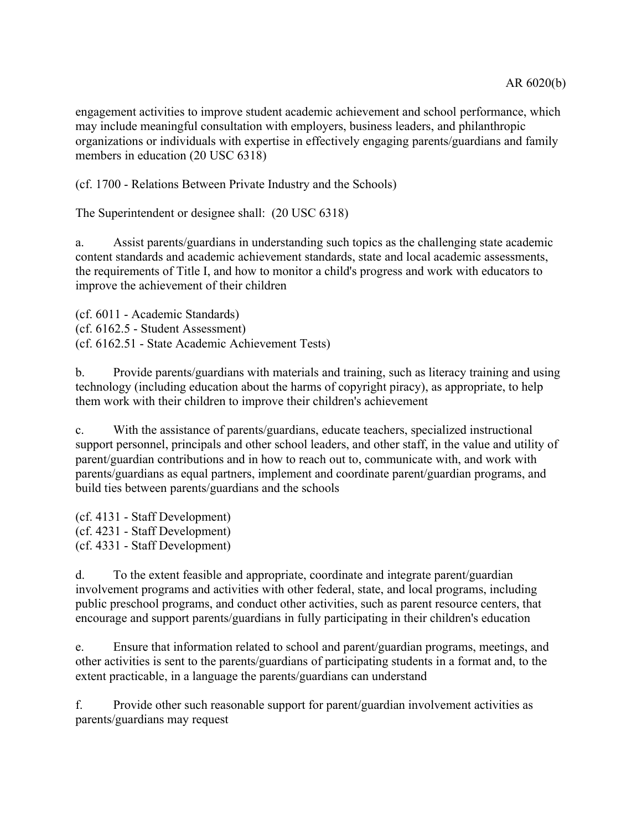engagement activities to improve student academic achievement and school performance, which may include meaningful consultation with employers, business leaders, and philanthropic organizations or individuals with expertise in effectively engaging parents/guardians and family members in education (20 USC 6318)

(cf. 1700 - Relations Between Private Industry and the Schools)

The Superintendent or designee shall: (20 USC 6318)

a. Assist parents/guardians in understanding such topics as the challenging state academic content standards and academic achievement standards, state and local academic assessments, the requirements of Title I, and how to monitor a child's progress and work with educators to improve the achievement of their children

(cf. 6011 - Academic Standards) (cf. 6162.5 - Student Assessment) (cf. 6162.51 - State Academic Achievement Tests)

b. Provide parents/guardians with materials and training, such as literacy training and using technology (including education about the harms of copyright piracy), as appropriate, to help them work with their children to improve their children's achievement

c. With the assistance of parents/guardians, educate teachers, specialized instructional support personnel, principals and other school leaders, and other staff, in the value and utility of parent/guardian contributions and in how to reach out to, communicate with, and work with parents/guardians as equal partners, implement and coordinate parent/guardian programs, and build ties between parents/guardians and the schools

(cf. 4131 - Staff Development) (cf. 4231 - Staff Development) (cf. 4331 - Staff Development)

d. To the extent feasible and appropriate, coordinate and integrate parent/guardian involvement programs and activities with other federal, state, and local programs, including public preschool programs, and conduct other activities, such as parent resource centers, that encourage and support parents/guardians in fully participating in their children's education

e. Ensure that information related to school and parent/guardian programs, meetings, and other activities is sent to the parents/guardians of participating students in a format and, to the extent practicable, in a language the parents/guardians can understand

f. Provide other such reasonable support for parent/guardian involvement activities as parents/guardians may request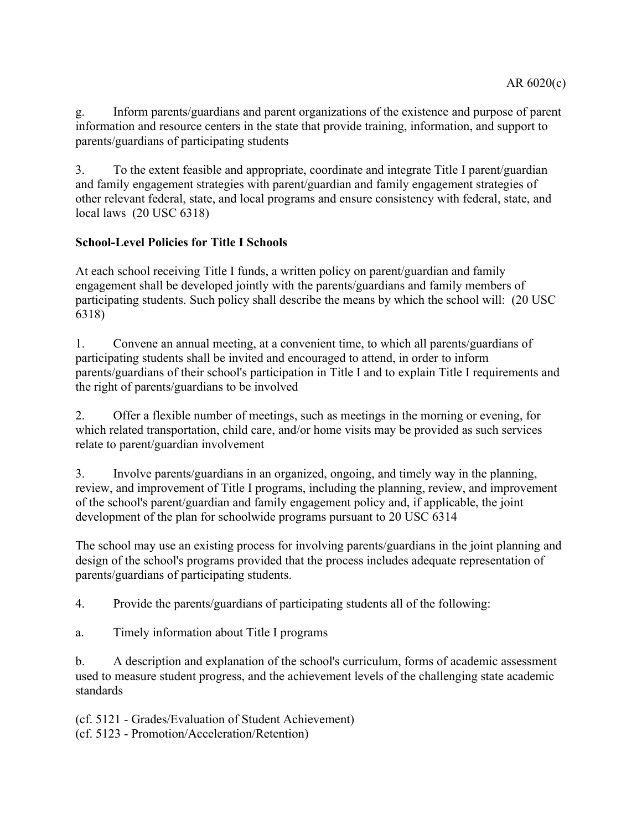g. Inform parents/guardians and parent organizations of the existence and purpose of parent information and resource centers in the state that provide training, information, and support to parents/guardians of participating students

3. To the extent feasible and appropriate, coordinate and integrate Title I parent/guardian and family engagement strategies with parent/guardian and family engagement strategies of other relevant federal, state, and local programs and ensure consistency with federal, state, and local laws (20 USC 6318)

## **School-Level Policies for Title I Schools**

At each school receiving Title I funds, a written policy on parent/guardian and family engagement shall be developed jointly with the parents/guardians and family members of participating students. Such policy shall describe the means by which the school will: (20 USC 6318)

1. Convene an annual meeting, at a convenient time, to which all parents/guardians of participating students shall be invited and encouraged to attend, in order to inform parents/guardians of their school's participation in Title I and to explain Title I requirements and the right of parents/guardians to be involved

2. Offer a flexible number of meetings, such as meetings in the morning or evening, for which related transportation, child care, and/or home visits may be provided as such services relate to parent/guardian involvement

3. Involve parents/guardians in an organized, ongoing, and timely way in the planning, review, and improvement of Title I programs, including the planning, review, and improvement of the school's parent/guardian and family engagement policy and, if applicable, the joint development of the plan for schoolwide programs pursuant to 20 USC 6314

The school may use an existing process for involving parents/guardians in the joint planning and design of the school's programs provided that the process includes adequate representation of parents/guardians of participating students.

4. Provide the parents/guardians of participating students all of the following:

a. Timely information about Title I programs

b. A description and explanation of the school's curriculum, forms of academic assessment used to measure student progress, and the achievement levels of the challenging state academic standards

(cf. 5121 - Grades/Evaluation of Student Achievement)

(cf. 5123 - Promotion/Acceleration/Retention)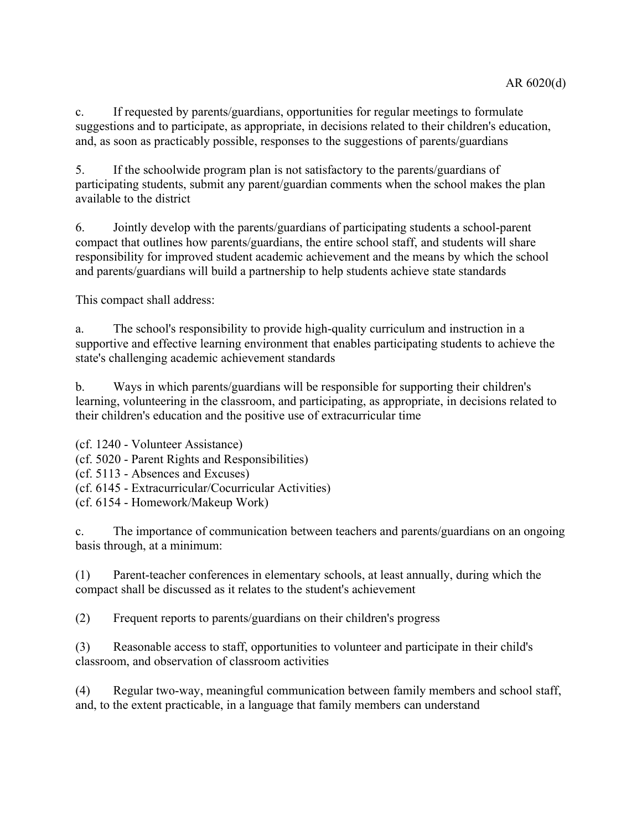c. If requested by parents/guardians, opportunities for regular meetings to formulate suggestions and to participate, as appropriate, in decisions related to their children's education, and, as soon as practicably possible, responses to the suggestions of parents/guardians

5. If the schoolwide program plan is not satisfactory to the parents/guardians of participating students, submit any parent/guardian comments when the school makes the plan available to the district

6. Jointly develop with the parents/guardians of participating students a school-parent compact that outlines how parents/guardians, the entire school staff, and students will share responsibility for improved student academic achievement and the means by which the school and parents/guardians will build a partnership to help students achieve state standards

This compact shall address:

a. The school's responsibility to provide high-quality curriculum and instruction in a supportive and effective learning environment that enables participating students to achieve the state's challenging academic achievement standards

b. Ways in which parents/guardians will be responsible for supporting their children's learning, volunteering in the classroom, and participating, as appropriate, in decisions related to their children's education and the positive use of extracurricular time

(cf. 1240 - Volunteer Assistance)

(cf. 5020 - Parent Rights and Responsibilities)

(cf. 5113 - Absences and Excuses)

(cf. 6145 - Extracurricular/Cocurricular Activities)

(cf. 6154 - Homework/Makeup Work)

c. The importance of communication between teachers and parents/guardians on an ongoing basis through, at a minimum:

(1) Parent-teacher conferences in elementary schools, at least annually, during which the compact shall be discussed as it relates to the student's achievement

(2) Frequent reports to parents/guardians on their children's progress

(3) Reasonable access to staff, opportunities to volunteer and participate in their child's classroom, and observation of classroom activities

(4) Regular two-way, meaningful communication between family members and school staff, and, to the extent practicable, in a language that family members can understand